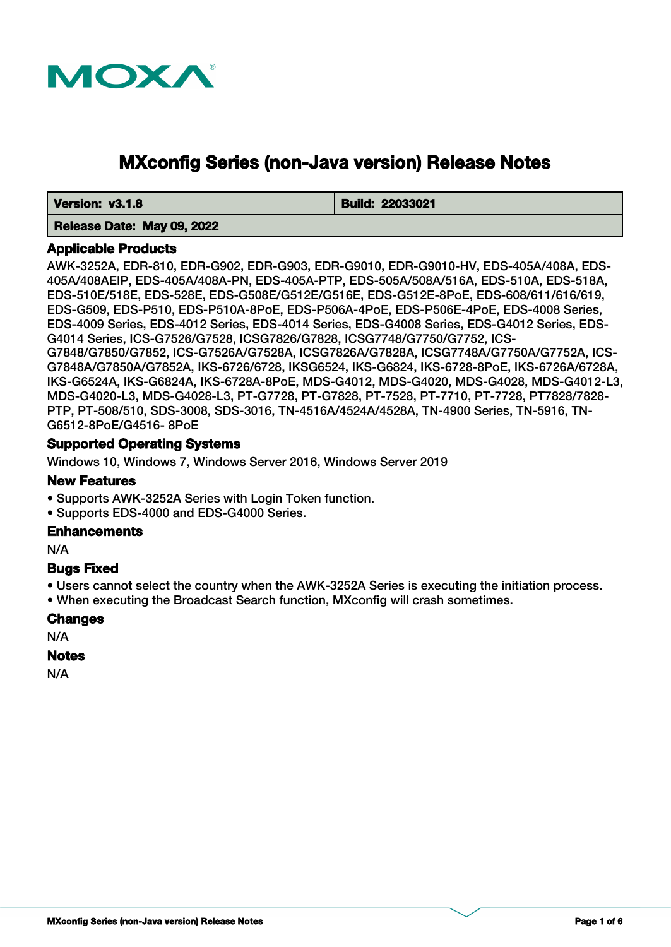

# **MXconfig Series (non-Java version) Release Notes**

 **Version: v3.1.8 Build: 22033021** 

#### **Release Date: May 09, 2022**

#### **Applicable Products**

AWK-3252A, EDR-810, EDR-G902, EDR-G903, EDR-G9010, EDR-G9010-HV, EDS-405A/408A, EDS-405A/408AEIP, EDS-405A/408A-PN, EDS-405A-PTP, EDS-505A/508A/516A, EDS-510A, EDS-518A, EDS-510E/518E, EDS-528E, EDS-G508E/G512E/G516E, EDS-G512E-8PoE, EDS-608/611/616/619, EDS-G509, EDS-P510, EDS-P510A-8PoE, EDS-P506A-4PoE, EDS-P506E-4PoE, EDS-4008 Series, EDS-4009 Series, EDS-4012 Series, EDS-4014 Series, EDS-G4008 Series, EDS-G4012 Series, EDS-G4014 Series, ICS-G7526/G7528, ICSG7826/G7828, ICSG7748/G7750/G7752, ICS-G7848/G7850/G7852, ICS-G7526A/G7528A, ICSG7826A/G7828A, ICSG7748A/G7750A/G7752A, ICS-G7848A/G7850A/G7852A, IKS-6726/6728, IKSG6524, IKS-G6824, IKS-6728-8PoE, IKS-6726A/6728A, IKS-G6524A, IKS-G6824A, IKS-6728A-8PoE, MDS-G4012, MDS-G4020, MDS-G4028, MDS-G4012-L3, MDS-G4020-L3, MDS-G4028-L3, PT-G7728, PT-G7828, PT-7528, PT-7710, PT-7728, PT7828/7828- PTP, PT-508/510, SDS-3008, SDS-3016, TN-4516A/4524A/4528A, TN-4900 Series, TN-5916, TN-G6512-8PoE/G4516- 8PoE

# **Supported Operating Systems**

Windows 10, Windows 7, Windows Server 2016, Windows Server 2019

#### **New Features**

• Supports AWK-3252A Series with Login Token function.

• Supports EDS-4000 and EDS-G4000 Series.

#### **Enhancements**

N/A

#### **Bugs Fixed**

• Users cannot select the country when the AWK-3252A Series is executing the initiation process.

• When executing the Broadcast Search function, MXconfig will crash sometimes.

#### **Changes**

N/A

#### **Notes**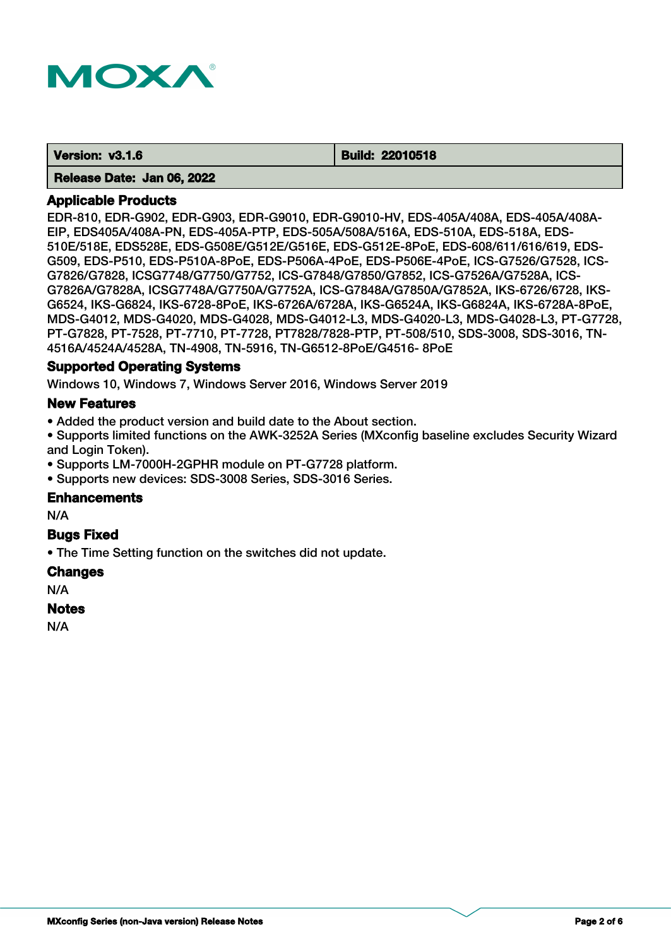

 **Version: v3.1.6 Build: 22010518** 

#### **Release Date: Jan 06, 2022**

#### **Applicable Products**

EDR-810, EDR-G902, EDR-G903, EDR-G9010, EDR-G9010-HV, EDS-405A/408A, EDS-405A/408A-EIP, EDS405A/408A-PN, EDS-405A-PTP, EDS-505A/508A/516A, EDS-510A, EDS-518A, EDS-510E/518E, EDS528E, EDS-G508E/G512E/G516E, EDS-G512E-8PoE, EDS-608/611/616/619, EDS-G509, EDS-P510, EDS-P510A-8PoE, EDS-P506A-4PoE, EDS-P506E-4PoE, ICS-G7526/G7528, ICS-G7826/G7828, ICSG7748/G7750/G7752, ICS-G7848/G7850/G7852, ICS-G7526A/G7528A, ICS-G7826A/G7828A, ICSG7748A/G7750A/G7752A, ICS-G7848A/G7850A/G7852A, IKS-6726/6728, IKS-G6524, IKS-G6824, IKS-6728-8PoE, IKS-6726A/6728A, IKS-G6524A, IKS-G6824A, IKS-6728A-8PoE, MDS-G4012, MDS-G4020, MDS-G4028, MDS-G4012-L3, MDS-G4020-L3, MDS-G4028-L3, PT-G7728, PT-G7828, PT-7528, PT-7710, PT-7728, PT7828/7828-PTP, PT-508/510, SDS-3008, SDS-3016, TN-4516A/4524A/4528A, TN-4908, TN-5916, TN-G6512-8PoE/G4516- 8PoE

#### **Supported Operating Systems**

Windows 10, Windows 7, Windows Server 2016, Windows Server 2019

#### **New Features**

• Added the product version and build date to the About section.

• Supports limited functions on the AWK-3252A Series (MXconfig baseline excludes Security Wizard and Login Token).

• Supports LM-7000H-2GPHR module on PT-G7728 platform.

• Supports new devices: SDS-3008 Series, SDS-3016 Series.

#### **Enhancements**

N/A

#### **Bugs Fixed**

• The Time Setting function on the switches did not update.

#### **Changes**

N/A

#### **Notes**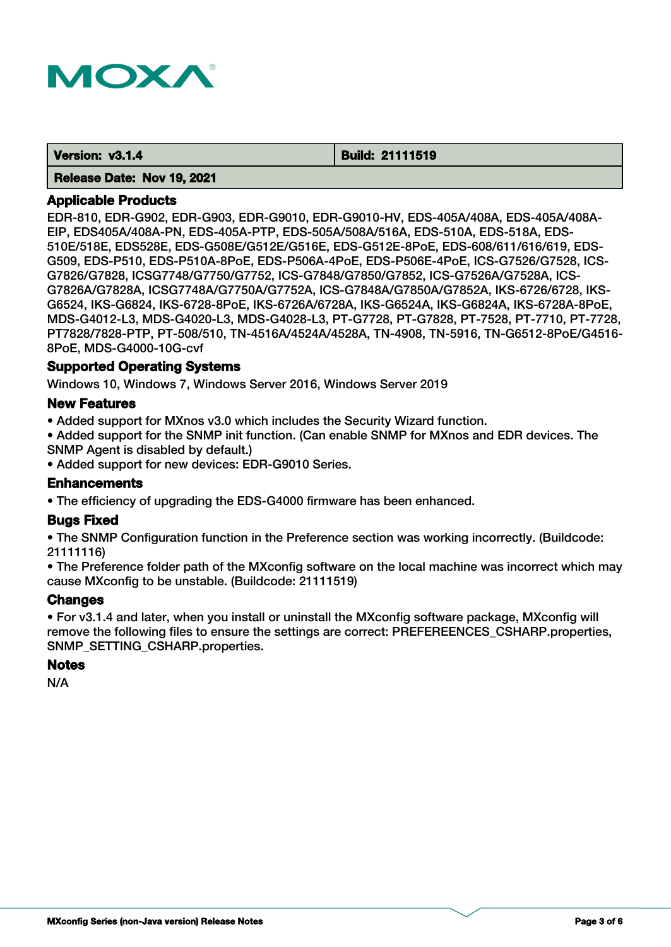

 **Version: v3.1.4 Build: 21111519** 

 **Release Date: Nov 19, 2021**

# **Applicable Products**

EDR-810, EDR-G902, EDR-G903, EDR-G9010, EDR-G9010-HV, EDS-405A/408A, EDS-405A/408A-EIP, EDS405A/408A-PN, EDS-405A-PTP, EDS-505A/508A/516A, EDS-510A, EDS-518A, EDS-510E/518E, EDS528E, EDS-G508E/G512E/G516E, EDS-G512E-8PoE, EDS-608/611/616/619, EDS-G509, EDS-P510, EDS-P510A-8PoE, EDS-P506A-4PoE, EDS-P506E-4PoE, ICS-G7526/G7528, ICS-G7826/G7828, ICSG7748/G7750/G7752, ICS-G7848/G7850/G7852, ICS-G7526A/G7528A, ICS-G7826A/G7828A, ICSG7748A/G7750A/G7752A, ICS-G7848A/G7850A/G7852A, IKS-6726/6728, IKS-G6524, IKS-G6824, IKS-6728-8PoE, IKS-6726A/6728A, IKS-G6524A, IKS-G6824A, IKS-6728A-8PoE, MDS-G4012-L3, MDS-G4020-L3, MDS-G4028-L3, PT-G7728, PT-G7828, PT-7528, PT-7710, PT-7728, PT7828/7828-PTP, PT-508/510, TN-4516A/4524A/4528A, TN-4908, TN-5916, TN-G6512-8PoE/G4516- 8PoE, MDS-G4000-10G-cvf

# **Supported Operating Systems**

Windows 10, Windows 7, Windows Server 2016, Windows Server 2019

# **New Features**

• Added support for MXnos v3.0 which includes the Security Wizard function.

• Added support for the SNMP init function. (Can enable SNMP for MXnos and EDR devices. The SNMP Agent is disabled by default.)

• Added support for new devices: EDR-G9010 Series.

# **Enhancements**

• The efficiency of upgrading the EDS-G4000 firmware has been enhanced.

# **Bugs Fixed**

• The SNMP Configuration function in the Preference section was working incorrectly. (Buildcode: 21111116)

• The Preference folder path of the MXconfig software on the local machine was incorrect which may cause MXconfig to be unstable. (Buildcode: 21111519)

# **Changes**

• For v3.1.4 and later, when you install or uninstall the MXconfig software package, MXconfig will remove the following files to ensure the settings are correct: PREFEREENCES\_CSHARP.properties, SNMP\_SETTING\_CSHARP.properties.

#### **Notes**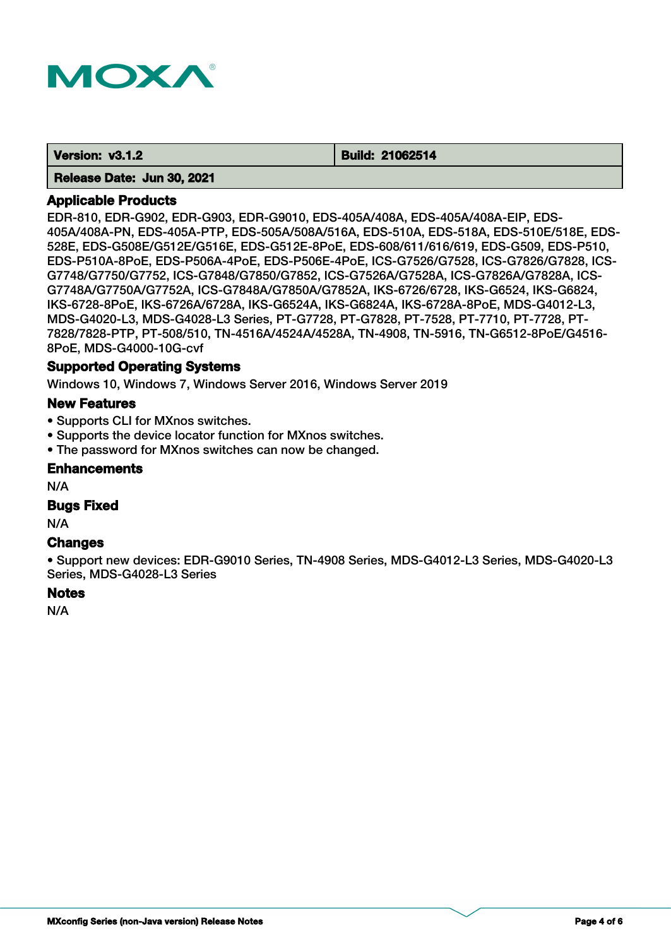

 **Version: v3.1.2 Build: 21062514** 

 **Release Date: Jun 30, 2021**

## **Applicable Products**

EDR-810, EDR-G902, EDR-G903, EDR-G9010, EDS-405A/408A, EDS-405A/408A-EIP, EDS-405A/408A-PN, EDS-405A-PTP, EDS-505A/508A/516A, EDS-510A, EDS-518A, EDS-510E/518E, EDS-528E, EDS-G508E/G512E/G516E, EDS-G512E-8PoE, EDS-608/611/616/619, EDS-G509, EDS-P510, EDS-P510A-8PoE, EDS-P506A-4PoE, EDS-P506E-4PoE, ICS-G7526/G7528, ICS-G7826/G7828, ICS-G7748/G7750/G7752, ICS-G7848/G7850/G7852, ICS-G7526A/G7528A, ICS-G7826A/G7828A, ICS-G7748A/G7750A/G7752A, ICS-G7848A/G7850A/G7852A, IKS-6726/6728, IKS-G6524, IKS-G6824, IKS-6728-8PoE, IKS-6726A/6728A, IKS-G6524A, IKS-G6824A, IKS-6728A-8PoE, MDS-G4012-L3, MDS-G4020-L3, MDS-G4028-L3 Series, PT-G7728, PT-G7828, PT-7528, PT-7710, PT-7728, PT-7828/7828-PTP, PT-508/510, TN-4516A/4524A/4528A, TN-4908, TN-5916, TN-G6512-8PoE/G4516- 8PoE, MDS-G4000-10G-cvf

# **Supported Operating Systems**

Windows 10, Windows 7, Windows Server 2016, Windows Server 2019

# **New Features**

- Supports CLI for MXnos switches.
- Supports the device locator function for MXnos switches.
- The password for MXnos switches can now be changed.

#### **Enhancements**

N/A

### **Bugs Fixed**

N/A

#### **Changes**

• Support new devices: EDR-G9010 Series, TN-4908 Series, MDS-G4012-L3 Series, MDS-G4020-L3 Series, MDS-G4028-L3 Series

# **Notes**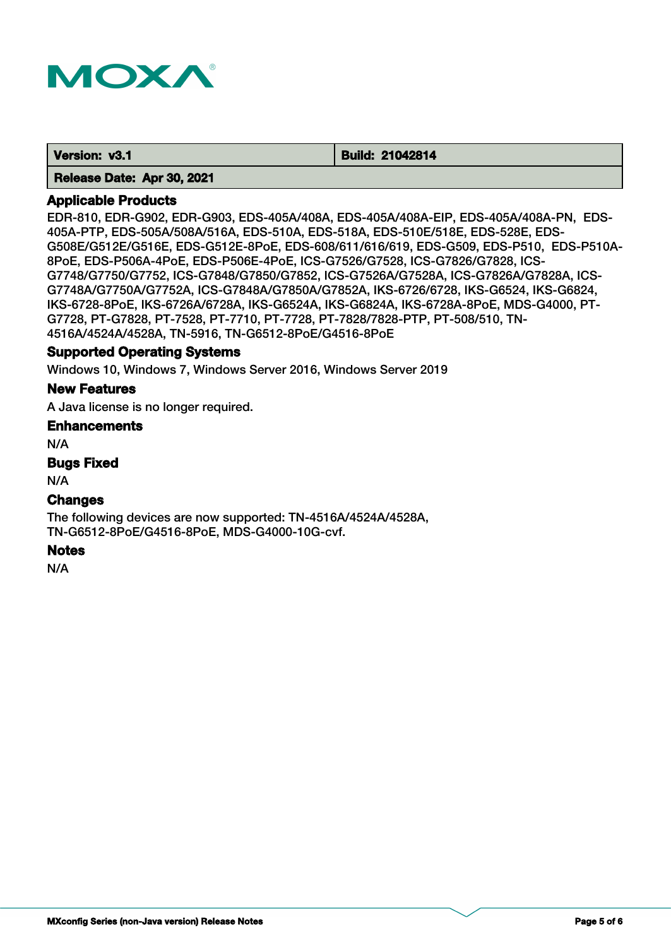

 **Version: v3.1 Build: 21042814** 

 **Release Date: Apr 30, 2021**

## **Applicable Products**

EDR-810, EDR-G902, EDR-G903, EDS-405A/408A, EDS-405A/408A-EIP, EDS-405A/408A-PN, EDS-405A-PTP, EDS-505A/508A/516A, EDS-510A, EDS-518A, EDS-510E/518E, EDS-528E, EDS-G508E/G512E/G516E, EDS-G512E-8PoE, EDS-608/611/616/619, EDS-G509, EDS-P510, EDS-P510A-8PoE, EDS-P506A-4PoE, EDS-P506E-4PoE, ICS-G7526/G7528, ICS-G7826/G7828, ICS-G7748/G7750/G7752, ICS-G7848/G7850/G7852, ICS-G7526A/G7528A, ICS-G7826A/G7828A, ICS-G7748A/G7750A/G7752A, ICS-G7848A/G7850A/G7852A, IKS-6726/6728, IKS-G6524, IKS-G6824, IKS-6728-8PoE, IKS-6726A/6728A, IKS-G6524A, IKS-G6824A, IKS-6728A-8PoE, MDS-G4000, PT-G7728, PT-G7828, PT-7528, PT-7710, PT-7728, PT-7828/7828-PTP, PT-508/510, TN-4516A/4524A/4528A, TN-5916, TN-G6512-8PoE/G4516-8PoE

#### **Supported Operating Systems**

Windows 10, Windows 7, Windows Server 2016, Windows Server 2019

#### **New Features**

A Java license is no longer required.

#### **Enhancements**

N/A

#### **Bugs Fixed**

N/A

# **Changes**

The following devices are now supported: TN-4516A/4524A/4528A, TN-G6512-8PoE/G4516-8PoE, MDS-G4000-10G-cvf.

#### **Notes**